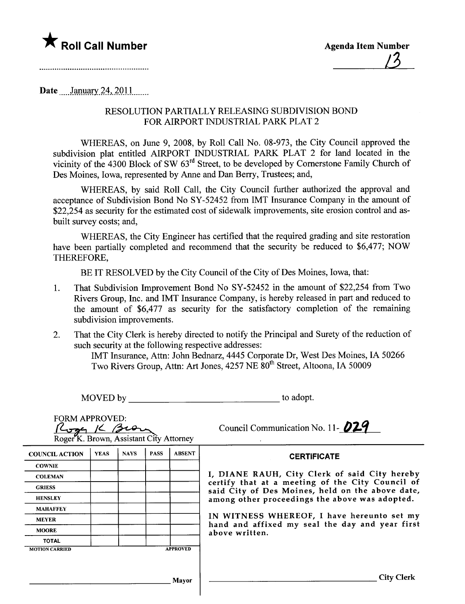

Date  $January~24,2011$ 

## RESOLUTION PAR TIALL Y RELEASING SUBDIVISION BOND FOR AIRPORT INDUSTRIAL PARK PLAT 2

WHEREAS, on June 9, 2008, by Roll Call No. 08-973, the City Council approved the subdivision plat entitled AIRPORT INDUSTRIAL PARK PLAT 2 for land located in the vicinity of the 4300 Block of SW 63rd Street, to be developed by Cornerstone Family Church of Des Moines, Iowa, represented by Anne and Dan Berry, Trustees; and,

WHEREAS, by said Roll Call, the City Council furher authorized the approval and acceptance of Subdivision Bond No SY-52452 from IMT Insurance Company in the amount of \$22,254 as security for the estimated cost of sidewalk improvements, site erosion control and asbuilt survey costs; and,

WHEREAS, the City Engineer has certified that the required grading and site restoration have been parially completed and recommend that the security be reduced to \$6,477; NOW THEREFORE,

BE IT RESOLVED by the City Council of the City of Des Moines, Iowa, that:

- 1. That Subdivision Improvement Bond No SY-52452 in the amount of \$22,254 from Two Rivers Group, Inc. and IMT Insurance Company, is hereby released in part and reduced to the amount of \$6,477 as security for the satisfactory completion of the remaining subdivision improvements.
- 2. That the City Clerk is hereby directed to notify the Principal and Surety of the reduction of such security at the following respective addresses:

IMT Insurance, Atln: John Bednarz, 4445 Corporate Dr, West Des Moines, IA 50266 Two Rivers Group, Attn: Art Jones, 4257 NE 80<sup>th</sup> Street, Altoona, IA 50009

| MOVED by                                                                     |             |             |             |               | to adopt.                                                                                            |  |
|------------------------------------------------------------------------------|-------------|-------------|-------------|---------------|------------------------------------------------------------------------------------------------------|--|
| <b>FORM APPROVED:</b><br>Roger <sup>K</sup> . Brown, Assistant City Attorney |             |             |             |               | Council Communication No. 11- <b>029</b>                                                             |  |
| <b>COUNCIL ACTION</b>                                                        | <b>YEAS</b> | <b>NAYS</b> | <b>PASS</b> | <b>ABSENT</b> | <b>CERTIFICATE</b>                                                                                   |  |
| <b>COWNIE</b>                                                                |             |             |             |               |                                                                                                      |  |
| <b>COLEMAN</b>                                                               |             |             |             |               | I, DIANE RAUH, City Clerk of said City hereby                                                        |  |
| <b>GRIESS</b>                                                                |             |             |             |               | certify that at a meeting of the City Council of<br>said City of Des Moines, held on the above date, |  |
| <b>HENSLEY</b>                                                               |             |             |             |               | among other proceedings the above was adopted.                                                       |  |
| <b>MAHAFFEY</b>                                                              |             |             |             |               |                                                                                                      |  |
| <b>MEYER</b>                                                                 |             |             |             |               | IN WITNESS WHEREOF, I have hereunto set my                                                           |  |
| <b>MOORE</b>                                                                 |             |             |             |               | hand and affixed my seal the day and year first<br>above written.                                    |  |
| <b>TOTAL</b>                                                                 |             |             |             |               |                                                                                                      |  |
| <b>APPROVED</b><br><b>MOTION CARRIED</b>                                     |             |             |             |               |                                                                                                      |  |
|                                                                              |             |             |             |               |                                                                                                      |  |
|                                                                              |             |             |             | Mayor         | <b>City Clerk</b>                                                                                    |  |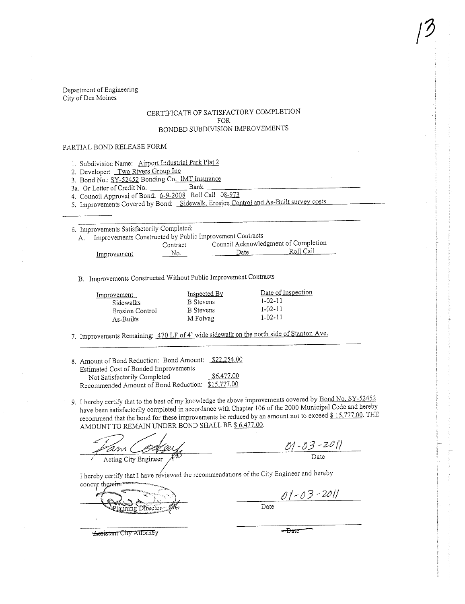Department of Engineering City of Des Moines

## CERTIFICATE OF SATISFACTORY COMPLETION FOR BONDED SUBDIVISION IMPROVEMENTS

## PARTIAL BOND RELEASE FORM

1. Subdivision Name: Airport Industrial Park Plat 2

2. Developer: Two Rivers Group Inc

3. Bond No.: SY-52452 Bonding Co. IMT Insurance

3a. Or Letter of Credit No. Bank

4. Council Approval of Bond: 6-9-2008 Roll Call 08-973

5. Improvements Covered by Bond: Sidewalk, Erosion Control and As-Built survey costs

6. Improvements Satisfactorily Completed:

A. Improvements Constructed by Public Improvement Contracts

|             | Contract | Council Acknowledgment of Completion |           |
|-------------|----------|--------------------------------------|-----------|
| Improvement | No.      | $\mathcal{Q}$ ate                    | Roll Call |

B. Improvements Constructed Without Public Improvement Contracts

| Improvement     | Inspected By     | Date of Inspection |
|-----------------|------------------|--------------------|
| Sidewalks       | <b>B</b> Stevens | $1 - 02 - 11$      |
| Erosion Control | <b>B</b> Stevens | $1 - 02 - 11$      |
| As-Builts       | M Folvag         | $1 - 02 - 11$      |

7. Improvements Remaining: 470 LF of 4' wide sidewalk on the north side of Stanton Ave.

| 8. Amount of Bond Reduction: Bond Amount: \$22,254.00 |            |
|-------------------------------------------------------|------------|
| Estimated Cost of Bonded Improvements                 |            |
| Not Satisfactorily Completed                          | \$6,477.00 |
| Recommended Amount of Bond Reduction: \$15,777.00     |            |

9. I hereby certify that to the best of my knowledge the above improvements covered by Bond No. SY-52452 have been satisfactorily completed in accordance with Chapter 106 of the 2000 Municipal Code and hereby recommend that the bond for these improvements be reduced by an amount not to exceed \$15,777.00. THE AMOUNT TO REMAIN UNDER BOND SHALL BE \$ 6,477.00.

Acting City Engineer

 $01 - 03 - 201$ 

I hereby certify that I have reviewed the recommendations of the City Engineer and hereby concur th

Director nnine

 $01 - 03 - 2011$ 

<del>- Date</del>

Date

**Assistant City Attorney**